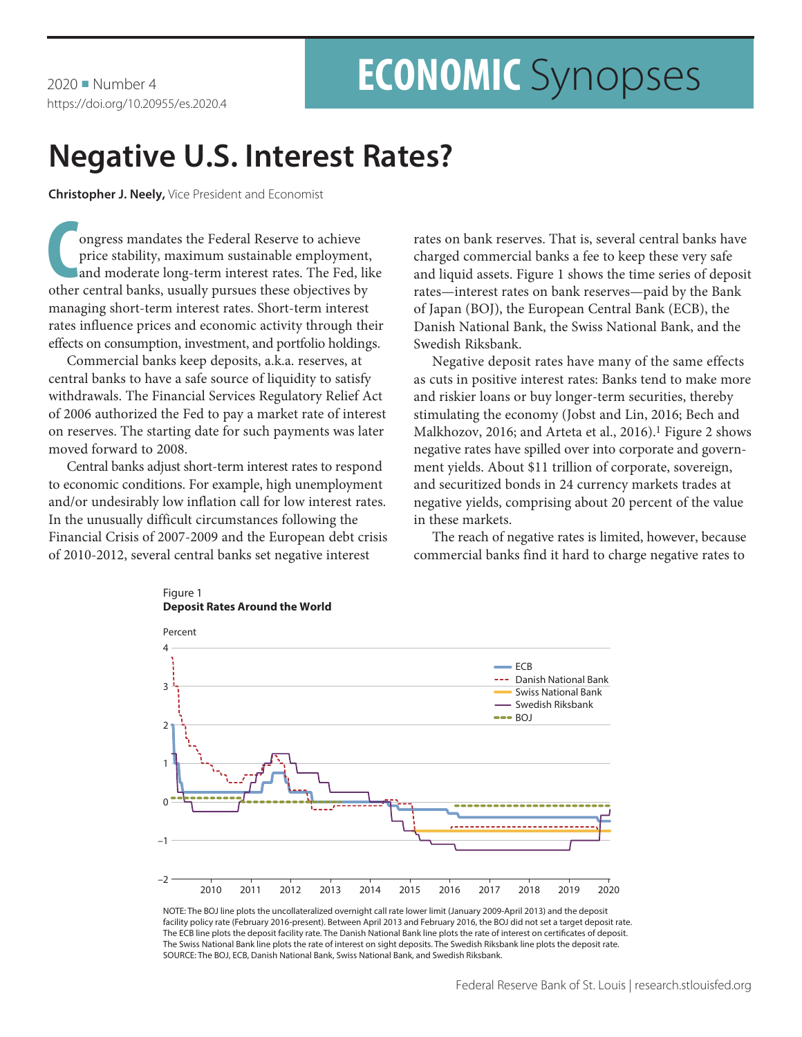$2020$  Number 4 https://doi.org/10.20955/es.2020.4

# **ECONOMIC** Synopses

## **Negative U.S. Interest Rates?**

**Christopher J. Neely,** Vice President and Economist

**C**ongress mandates the Federal Reserve to achieve<br>
price stability, maximum sustainable employment,<br>
and moderate long-term interest rates. The Fed, lil<br>
other central banks, usually pursues these objectives by ongress mandates the Federal Reserve to achieve price stability, maximum sustainable employment, and moderate long-term interest rates. The Fed, like managing short-term interest rates. Short-term interest rates influence prices and economic activity through their effects on consumption, investment, and portfolio holdings.

Commercial banks keep deposits, a.k.a. reserves, at central banks to have a safe source of liquidity to satisfy withdrawals. The Financial Services Regulatory Relief Act of 2006 authorized the Fed to pay a market rate of interest on reserves. The starting date for such payments was later moved forward to 2008.

Central banks adjust short-term interest rates to respond to economic conditions. For example, high unemployment and/or undesirably low inflation call for low interest rates. In the unusually difficult circumstances following the Financial Crisis of 2007-2009 and the European debt crisis of 2010-2012, several central banks set negative interest

Figure 1

rates on bank reserves. That is, several central banks have charged commercial banks a fee to keep these very safe and liquid assets. Figure 1 shows the time series of deposit rates—interest rates on bank reserves—paid by the Bank of Japan (BOJ), the European Central Bank (ECB), the Danish National Bank, the Swiss National Bank, and the Swedish Riksbank.

Negative deposit rates have many of the same effects as cuts in positive interest rates: Banks tend to make more and riskier loans or buy longer-term securities, thereby stimulating the economy (Jobst and Lin, 2016; Bech and Malkhozov, 2016; and Arteta et al., 2016).<sup>1</sup> Figure 2 shows negative rates have spilled over into corporate and government yields. About \$11 trillion of corporate, sovereign, and securitized bonds in 24 currency markets trades at negative yields, comprising about 20 percent of the value in these markets.

The reach of negative rates is limited, however, because commercial banks find it hard to charge negative rates to



NOTE: The BOJ line plots the uncollateralized overnight call rate lower limit (January 2009-April 2013) and the deposit facility policy rate (February 2016-present). Between April 2013 and February 2016, the BOJ did not set a target deposit rate. The ECB line plots the deposit facility rate. The Danish National Bank line plots the rate of interest on certificates of deposit. The Swiss National Bank line plots the rate of interest on sight deposits. The Swedish Riksbank line plots the deposit rate. SOURCE: The BOJ, ECB, Danish National Bank, Swiss National Bank, and Swedish Riksbank.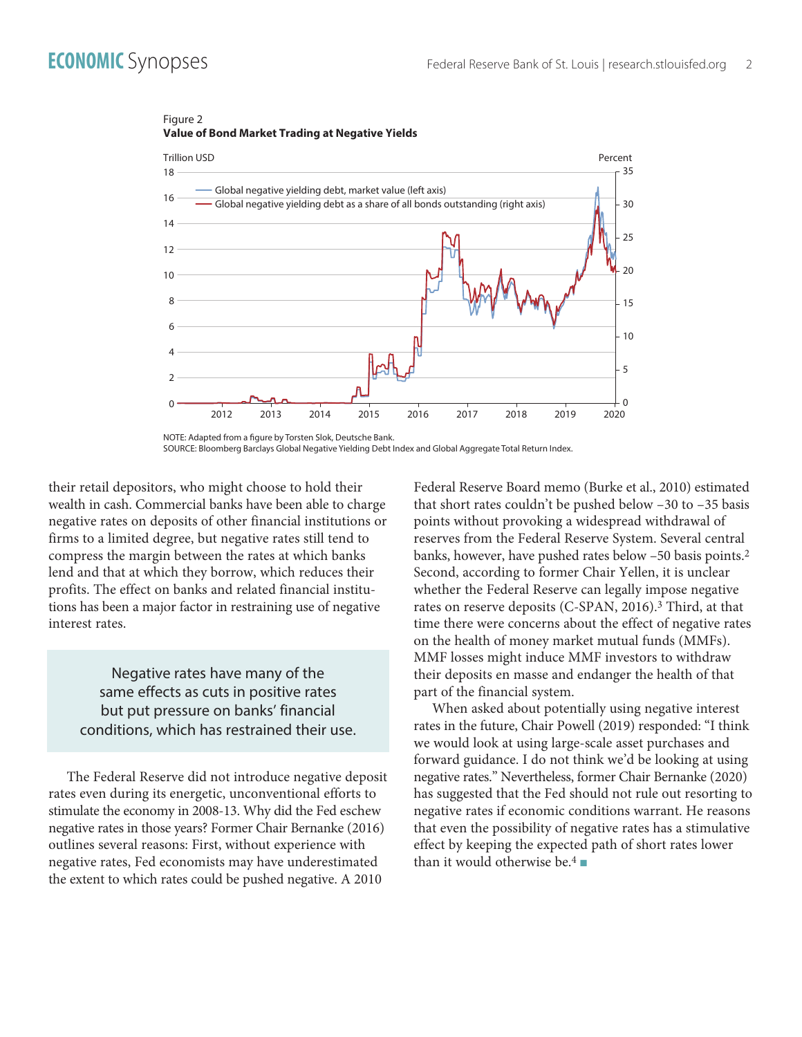

### Figure 2 **Value of Bond Market Trading at Negative Yields**

SOURCE: Bloomberg Barclays Global Negative Yielding Debt Index and Global Aggregate Total Return Index.

their retail depositors, who might choose to hold their wealth in cash. Commercial banks have been able to charge negative rates on deposits of other financial institutions or firms to a limited degree, but negative rates still tend to compress the margin between the rates at which banks lend and that at which they borrow, which reduces their profits. The effect on banks and related financial institutions has been a major factor in restraining use of negative interest rates.

Negative rates have many of the same effects as cuts in positive rates but put pressure on banks' financial conditions, which has restrained their use.

The Federal Reserve did not introduce negative deposit rates even during its energetic, unconventional efforts to stimulate the economy in 2008-13. Why did the Fed eschew negative rates in those years? Former Chair Bernanke (2016) outlines several reasons: First, without experience with negative rates, Fed economists may have underestimated the extent to which rates could be pushed negative. A 2010

Federal Reserve Board memo (Burke et al., 2010) estimated that short rates couldn't be pushed below –30 to –35 basis points without provoking a widespread withdrawal of reserves from the Federal Reserve System. Several central banks, however, have pushed rates below –50 basis points.2 Second, according to former Chair Yellen, it is unclear whether the Federal Reserve can legally impose negative rates on reserve deposits (C-SPAN, 2016).<sup>3</sup> Third, at that time there were concerns about the effect of negative rates on the health of money market mutual funds (MMFs). MMF losses might induce MMF investors to withdraw their deposits en masse and endanger the health of that part of the financial system.

When asked about potentially using negative interest rates in the future, Chair Powell (2019) responded: "I think we would look at using large-scale asset purchases and forward guidance. I do not think we'd be looking at using negative rates." Nevertheless, former Chair Bernanke (2020) has suggested that the Fed should not rule out resorting to negative rates if economic conditions warrant. He reasons that even the possibility of negative rates has a stimulative effect by keeping the expected path of short rates lower than it would otherwise be.<sup>4</sup>